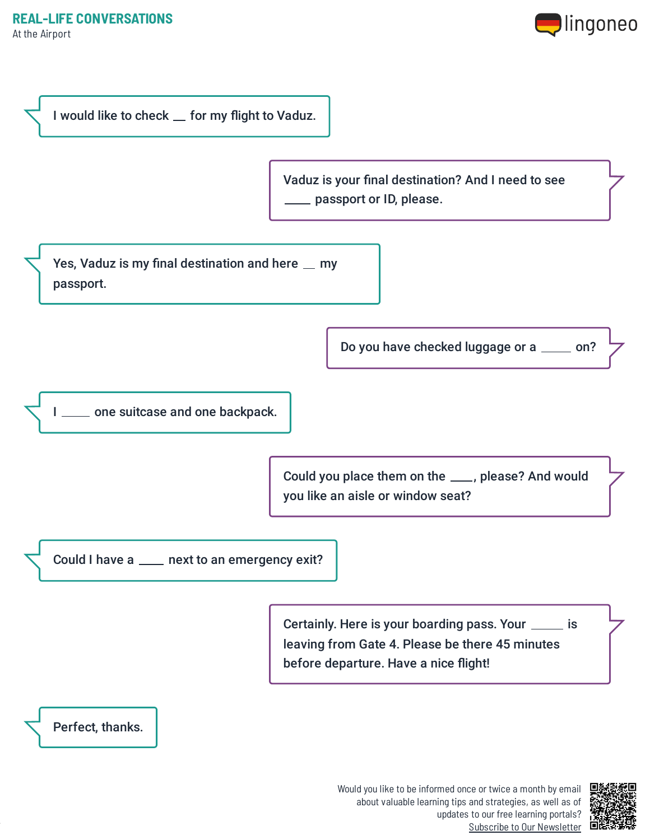At the Airport